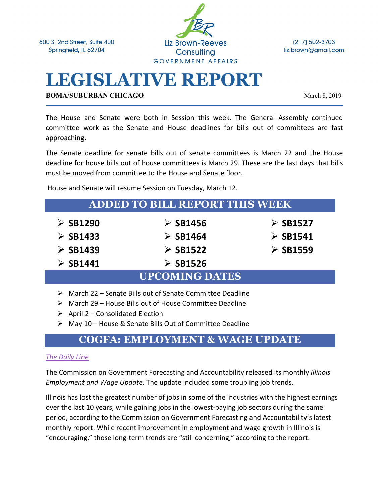600 S. 2nd Street, Suite 400 Springfield, IL 62704



(217) 502-3703 liz.brown@gmail.com

# **LEGISLATIVE REPORT**

**BOMA/SUBURBAN CHICAGO** March 8, 2019

The House and Senate were both in Session this week. The General Assembly continued committee work as the Senate and House deadlines for bills out of committees are fast approaching.

The Senate deadline for senate bills out of senate committees is March 22 and the House deadline for house bills out of house committees is March 29. These are the last days that bills must be moved from committee to the House and Senate floor.

House and Senate will resume Session on Tuesday, March 12.

| <b>ADDED TO BILL REPORT THIS WEEK</b> |                         |                         |
|---------------------------------------|-------------------------|-------------------------|
| $\triangleright$ SB1290               | $\triangleright$ SB1456 | $\triangleright$ SB1527 |
| $\triangleright$ SB1433               | $\triangleright$ SB1464 | $\triangleright$ SB1541 |
| $\triangleright$ SB1439               | $\triangleright$ SB1522 | $\triangleright$ SB1559 |
| $\triangleright$ SB1441               | $\triangleright$ SB1526 |                         |
| <b>UPCOMING DATES</b>                 |                         |                         |

- $\triangleright$  March 22 Senate Bills out of Senate Committee Deadline
- $\triangleright$  March 29 House Bills out of House Committee Deadline
- $\triangleright$  April 2 Consolidated Election
- $\triangleright$  May 10 House & Senate Bills Out of Committee Deadline

### **COGFA: EMPLOYMENT & WAGE UPDATE**

#### *The Daily Line*

The Commission on Government Forecasting and Accountability released its monthly *Illinois Employment and Wage Update.* The update included some troubling job trends.

Illinois has lost the greatest number of jobs in some of the industries with the highest earnings over the last 10 years, while gaining jobs in the lowest-paying job sectors during the same period, according to the Commission on Government Forecasting and Accountability's latest monthly report. While recent improvement in employment and wage growth in Illinois is "encouraging," those long-term trends are "still concerning," according to the report.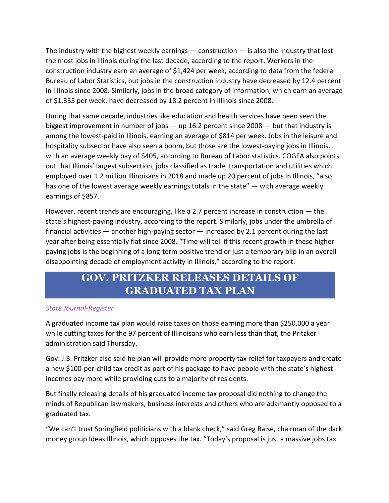The industry with the highest weekly earnings  $-$  construction  $-$  is also the industry that lost the most jobs in Illinois during the last decade, according to the report. Workers in the construction industry earn an average of \$1,424 per week, according to data from the federal Bureau of Labor Statistics, but jobs in the construction industry have decreased by 12.4 percent in Illinois since 2008. Similarly, jobs in the broad category of information, which earn an average of \$1,335 per week, have decreased by 18.2 percent in Illinois since 2008.

During that same decade, industries like education and health services have been seen the biggest improvement in number of jobs  $-$  up 16.2 percent since 2008  $-$  but that industry is among the lowest-paid in Illinois, earning an average of \$814 per week. Jobs in the leisure and hospitality subsector have also seen a boom, but those are the lowest-paying jobs in Illinois, with an average weekly pay of \$405, according to Bureau of Labor statistics. COGFA also points out that Illinois' largest subsection, jobs classified as trade, transportation and utilities which employed over 1.2 million Illinoisans in 2018 and made up 20 percent of jobs in Illinois, "also has one of the lowest average weekly earnings totals in the state" — with average weekly earnings of \$857.

However, recent trends are encouraging, like a 2.7 percent increase in construction — the state's highest-paying industry, according to the report. Similarly, jobs under the umbrella of financial activities — another high-paying sector — increased by 2.1 percent during the last year after being essentially flat since 2008. "Time will tell if this recent growth in these higher paying jobs is the beginning of a long-term positive trend or just a temporary blip in an overall disappointing decade of employment activity in Illinois," according to the report.

### **GOV. PRITZKER RELEASES DETAILS OF GRADUATED TAX PLAN**

#### *State Journal-Register*

A graduated income tax plan would raise taxes on those earning more than \$250,000 a year while cutting taxes for the 97 percent of Illinoisans who earn less than that, the Pritzker administration said Thursday.

Gov. J.B. Pritzker also said he plan will provide more property tax relief for taxpayers and create a new \$100-per-child tax credit as part of his package to have people with the state's highest incomes pay more while providing cuts to a majority of residents.

But finally releasing details of his graduated income tax proposal did nothing to change the minds of Republican lawmakers, business interests and others who are adamantly opposed to a graduated tax.

"We can't trust Springfield politicians with a blank check," said Greg Baise, chairman of the dark money group Ideas Illinois, which opposes the tax. "Today's proposal is just a massive jobs tax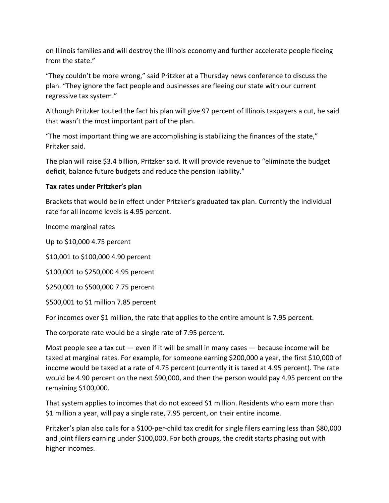on Illinois families and will destroy the Illinois economy and further accelerate people fleeing from the state."

"They couldn't be more wrong," said Pritzker at a Thursday news conference to discuss the plan. "They ignore the fact people and businesses are fleeing our state with our current regressive tax system."

Although Pritzker touted the fact his plan will give 97 percent of Illinois taxpayers a cut, he said that wasn't the most important part of the plan.

"The most important thing we are accomplishing is stabilizing the finances of the state," Pritzker said.

The plan will raise \$3.4 billion, Pritzker said. It will provide revenue to "eliminate the budget deficit, balance future budgets and reduce the pension liability."

#### **Tax rates under Pritzker's plan**

Brackets that would be in effect under Pritzker's graduated tax plan. Currently the individual rate for all income levels is 4.95 percent.

Income marginal rates

Up to \$10,000 4.75 percent

\$10,001 to \$100,000 4.90 percent

\$100,001 to \$250,000 4.95 percent

\$250,001 to \$500,000 7.75 percent

\$500,001 to \$1 million 7.85 percent

For incomes over \$1 million, the rate that applies to the entire amount is 7.95 percent.

The corporate rate would be a single rate of 7.95 percent.

Most people see a tax cut  $-$  even if it will be small in many cases  $-$  because income will be taxed at marginal rates. For example, for someone earning \$200,000 a year, the first \$10,000 of income would be taxed at a rate of 4.75 percent (currently it is taxed at 4.95 percent). The rate would be 4.90 percent on the next \$90,000, and then the person would pay 4.95 percent on the remaining \$100,000.

That system applies to incomes that do not exceed \$1 million. Residents who earn more than \$1 million a year, will pay a single rate, 7.95 percent, on their entire income.

Pritzker's plan also calls for a \$100-per-child tax credit for single filers earning less than \$80,000 and joint filers earning under \$100,000. For both groups, the credit starts phasing out with higher incomes.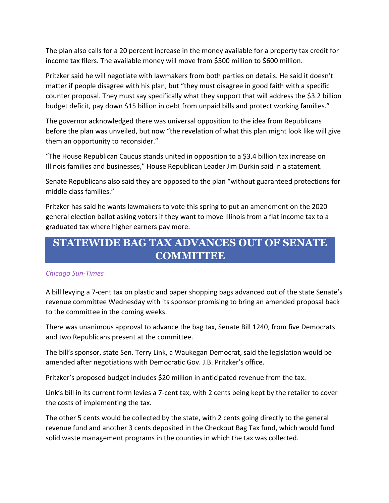The plan also calls for a 20 percent increase in the money available for a property tax credit for income tax filers. The available money will move from \$500 million to \$600 million.

Pritzker said he will negotiate with lawmakers from both parties on details. He said it doesn't matter if people disagree with his plan, but "they must disagree in good faith with a specific counter proposal. They must say specifically what they support that will address the \$3.2 billion budget deficit, pay down \$15 billion in debt from unpaid bills and protect working families."

The governor acknowledged there was universal opposition to the idea from Republicans before the plan was unveiled, but now "the revelation of what this plan might look like will give them an opportunity to reconsider."

"The House Republican Caucus stands united in opposition to a \$3.4 billion tax increase on Illinois families and businesses," House Republican Leader Jim Durkin said in a statement.

Senate Republicans also said they are opposed to the plan "without guaranteed protections for middle class families."

Pritzker has said he wants lawmakers to vote this spring to put an amendment on the 2020 general election ballot asking voters if they want to move Illinois from a flat income tax to a graduated tax where higher earners pay more.

### **STATEWIDE BAG TAX ADVANCES OUT OF SENATE COMMITTEE**

#### *Chicago Sun-Times*

A bill levying a 7-cent tax on plastic and paper shopping bags advanced out of the state Senate's revenue committee Wednesday with its sponsor promising to bring an amended proposal back to the committee in the coming weeks.

There was unanimous approval to advance the bag tax, Senate Bill 1240, from five Democrats and two Republicans present at the committee.

The bill's sponsor, state Sen. Terry Link, a Waukegan Democrat, said the legislation would be amended after negotiations with Democratic Gov. J.B. Pritzker's office.

Pritzker's proposed budget includes \$20 million in anticipated revenue from the tax.

Link's bill in its current form levies a 7-cent tax, with 2 cents being kept by the retailer to cover the costs of implementing the tax.

The other 5 cents would be collected by the state, with 2 cents going directly to the general revenue fund and another 3 cents deposited in the Checkout Bag Tax fund, which would fund solid waste management programs in the counties in which the tax was collected.